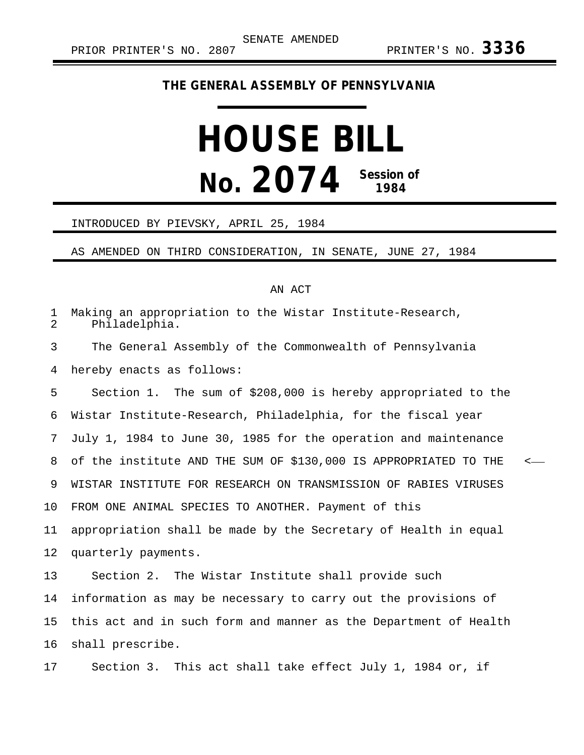## **THE GENERAL ASSEMBLY OF PENNSYLVANIA**

## **HOUSE BILL No. 2074 Session of 1984**

## INTRODUCED BY PIEVSKY, APRIL 25, 1984

AS AMENDED ON THIRD CONSIDERATION, IN SENATE, JUNE 27, 1984

## AN ACT

| 1<br>$\overline{2}$ | Making an appropriation to the Wistar Institute-Research,<br>Philadelphia.  |
|---------------------|-----------------------------------------------------------------------------|
| 3                   | The General Assembly of the Commonwealth of Pennsylvania                    |
| 4                   | hereby enacts as follows:                                                   |
| 5                   | Section 1. The sum of \$208,000 is hereby appropriated to the               |
| 6                   | Wistar Institute-Research, Philadelphia, for the fiscal year                |
| 7                   | July 1, 1984 to June 30, 1985 for the operation and maintenance             |
| 8                   | of the institute AND THE SUM OF \$130,000 IS APPROPRIATED TO THE<br>$\,<\,$ |
| 9                   | WISTAR INSTITUTE FOR RESEARCH ON TRANSMISSION OF RABIES VIRUSES             |
| 10                  | FROM ONE ANIMAL SPECIES TO ANOTHER. Payment of this                         |
| 11                  | appropriation shall be made by the Secretary of Health in equal             |
| 12                  | quarterly payments.                                                         |
| 13                  | Section 2. The Wistar Institute shall provide such                          |
| 14                  | information as may be necessary to carry out the provisions of              |
| 15                  | this act and in such form and manner as the Department of Health            |
| 16                  | shall prescribe.                                                            |
| 17                  | Section 3. This act shall take effect July 1, 1984 or, if                   |